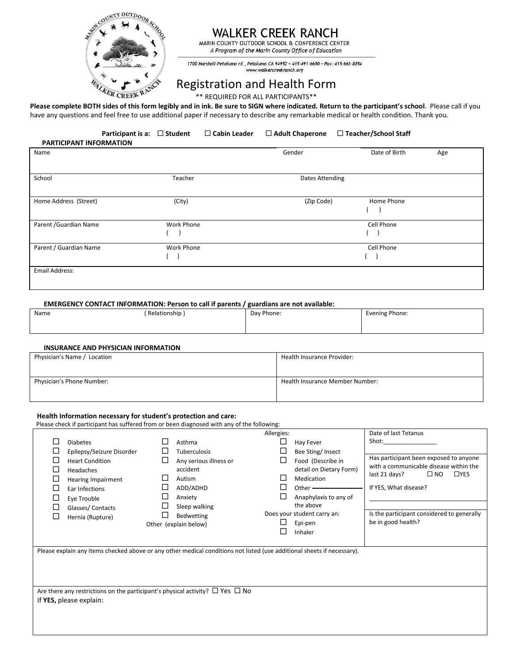

## **WALKER CREEK RANCH**

MARIN COUNTY OUTDOOR SCHOOL & CONFERENCE CENTER A Program of the Marin County Office of Education

1700 Marshall-Petaluma rd., Petaluma CA 94952 ~ 415-491-6600 ~ Fax: 415-663-8854 www.walkercreekranch.org

# Registration and Health Form

\*\* REQUIRED FOR ALL PARTICIPANTS\*\*

**Please complete BOTH sides of this form legibly and in ink. Be sure to SIGN where indicated. Return to the participant's school**. Please call if you have any questions and feel free to use additional paper if necessary to describe any remarkable medical or health condition. Thank you.

|                                | Participant is a: $\Box$ Student |            | $\Box$ Cabin Leader | $\Box$ Adult Chaperone | □ Teacher/School Staff |     |
|--------------------------------|----------------------------------|------------|---------------------|------------------------|------------------------|-----|
| <b>PARTICIPANT INFORMATION</b> |                                  |            |                     |                        |                        |     |
| Name                           |                                  |            |                     | Gender                 | Date of Birth          | Age |
| School                         |                                  | Teacher    |                     | Dates Attending        |                        |     |
| Home Address (Street)          |                                  | (City)     |                     | (Zip Code)             | Home Phone             |     |
|                                |                                  |            |                     |                        |                        |     |
| Parent / Guardian Name         |                                  | Work Phone |                     |                        | Cell Phone             |     |
| Parent / Guardian Name         |                                  | Work Phone |                     |                        | Cell Phone             |     |
| Email Address:                 |                                  |            |                     |                        |                        |     |

### **EMERGENCY CONTACT INFORMATION: Person to call if parents / guardians are not available:**

| Name | Relationship | Day Phone: | Evening Phone: |
|------|--------------|------------|----------------|
|      |              |            |                |
|      |              |            |                |

#### **INSURANCE AND PHYSICIAN INFORMATION**

| Physician's Name / Location | Health Insurance Provider:      |
|-----------------------------|---------------------------------|
|                             |                                 |
| Physician's Phone Number:   | Health Insurance Member Number: |
|                             |                                 |

#### **Health Information necessary for student's protection and care:**

Please check if participant has suffered from or been diagnosed with any of the following:

| Shot: the contract of the contract of the contract of the contract of the contract of the contract of the contract of the contract of the contract of the contract of the contract of the contract of the contract of the cont<br><b>Diabetes</b><br>Asthma<br>Hay Fever<br>Epilepsy/Seizure Disorder<br>Bee Sting/Insect<br>⊔<br><b>Tuberculosis</b> |  |
|-------------------------------------------------------------------------------------------------------------------------------------------------------------------------------------------------------------------------------------------------------------------------------------------------------------------------------------------------------|--|
|                                                                                                                                                                                                                                                                                                                                                       |  |
|                                                                                                                                                                                                                                                                                                                                                       |  |
| Has participant been exposed to anyone<br>∟<br>Food (Describe in<br><b>Heart Condition</b><br>Any serious illness or                                                                                                                                                                                                                                  |  |
| with a communicable disease within the<br>detail on Dietary Form)<br>accident<br>L<br>Headaches                                                                                                                                                                                                                                                       |  |
| $\square$ NO<br>$\Box$ YES<br>last 21 days?<br>Medication<br>Autism<br>L<br><b>Hearing Impairment</b>                                                                                                                                                                                                                                                 |  |
| If YES, What disease?<br>ADD/ADHD<br>Other $\_\_$<br>⊔<br>Ear Infections                                                                                                                                                                                                                                                                              |  |
| Anaphylaxis to any of<br>Anxiety<br>⊔<br>Eye Trouble                                                                                                                                                                                                                                                                                                  |  |
| the above<br>Sleep walking<br>Glasses/Contacts                                                                                                                                                                                                                                                                                                        |  |
| Does your student carry an:<br>Is the participant considered to generally<br>Bedwetting<br>Hernia (Rupture)                                                                                                                                                                                                                                           |  |
| be in good health?<br>Epi-pen<br>Other (explain below)                                                                                                                                                                                                                                                                                                |  |
| Inhaler                                                                                                                                                                                                                                                                                                                                               |  |
|                                                                                                                                                                                                                                                                                                                                                       |  |
| Please explain any items checked above or any other medical conditions not listed (use additional sheets if necessary).                                                                                                                                                                                                                               |  |
|                                                                                                                                                                                                                                                                                                                                                       |  |
|                                                                                                                                                                                                                                                                                                                                                       |  |
|                                                                                                                                                                                                                                                                                                                                                       |  |
| Are there any restrictions on the participant's physical activity? $\Box$ Yes $\Box$ No                                                                                                                                                                                                                                                               |  |
| If YES, please explain:                                                                                                                                                                                                                                                                                                                               |  |
|                                                                                                                                                                                                                                                                                                                                                       |  |
|                                                                                                                                                                                                                                                                                                                                                       |  |
|                                                                                                                                                                                                                                                                                                                                                       |  |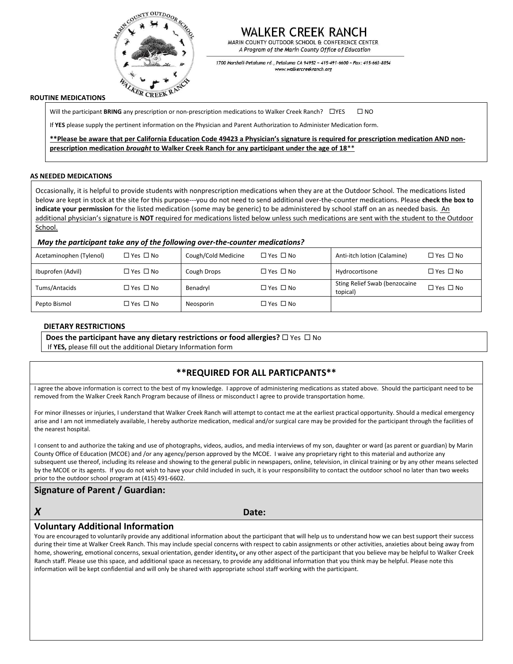

# WALKER CREEK RANCH

MARIN COUNTY OUTDOOR SCHOOL & CONFERENCE CENTER A Program of the Marin County Office of Education

1700 Marshall-Petaluma rd., Petaluma CA 94952 ~ 415-491-6600 ~ Fax: 415-663-8854 www.walkercreekranch.org

### **ROUTINE MEDICATIONS**

Will the participant **BRING** any prescription or non-prescription medications to Walker Creek Ranch?  $\Box$ YES  $\Box$  NO

If **YES** please supply the pertinent information on the Physician and Parent Authorization to Administer Medication form.

**\*\*Please be aware that per California Education Code 49423 a Physician's signature is required for prescription medication AND nonprescription medication** *brought* **to Walker Creek Ranch for any participant under the age of 18**\*\*

### **AS NEEDED MEDICATIONS**

Occasionally, it is helpful to provide students with nonprescription medications when they are at the Outdoor School. The medications listed below are kept in stock at the site for this purpose---you do not need to send additional over-the-counter medications. Please **check the box to indicate your permission** for the listed medication (some may be generic) to be administered by school staff on an as needed basis. An additional physician's signature is **NOT** required for medications listed below unless such medications are sent with the student to the Outdoor School.

### *May the participant take any of the following over-the-counter medications?*

| Acetaminophen (Tylenol) | $\Box$ Yes $\Box$ No | Cough/Cold Medicine | $\Box$ Yes $\Box$ No | Anti-itch lotion (Calamine)               | $\Box$ Yes $\Box$ No |
|-------------------------|----------------------|---------------------|----------------------|-------------------------------------------|----------------------|
| Ibuprofen (Advil)       | $\Box$ Yes $\Box$ No | Cough Drops         | $\Box$ Yes $\Box$ No | Hydrocortisone                            | $\Box$ Yes $\Box$ No |
| Tums/Antacids           | $\Box$ Yes $\Box$ No | Benadryl            | $\Box$ Yes $\Box$ No | Sting Relief Swab (benzocaine<br>topical) | $\Box$ Yes $\Box$ No |
| Pepto Bismol            | $\Box$ Yes $\Box$ No | Neosporin           | $\Box$ Yes $\Box$ No |                                           |                      |

### **DIETARY RESTRICTIONS**

**Does the participant have any dietary restrictions or food allergies?**  $\Box$  Yes  $\Box$  No

If **YES,** please fill out the additional Dietary Information form

## **\*\*REQUIRED FOR ALL PARTICPANTS\*\***

I agree the above information is correct to the best of my knowledge. I approve of administering medications as stated above. Should the participant need to be removed from the Walker Creek Ranch Program because of illness or misconduct I agree to provide transportation home.

For minor illnesses or injuries, I understand that Walker Creek Ranch will attempt to contact me at the earliest practical opportunity. Should a medical emergency arise and I am not immediately available, I hereby authorize medication, medical and/or surgical care may be provided for the participant through the facilities of the nearest hospital.

I consent to and authorize the taking and use of photographs, videos, audios, and media interviews of my son, daughter or ward (as parent or guardian) by Marin County Office of Education (MCOE) and /or any agency/person approved by the MCOE. I waive any proprietary right to this material and authorize any subsequent use thereof, including its release and showing to the general public in newspapers, online, television, in clinical training or by any other means selected by the MCOE or its agents. If you do not wish to have your child included in such, it is your responsibility to contact the outdoor school no later than two weeks prior to the outdoor school program at (415) 491-6602.

## **Signature of Parent / Guardian:**

*X* **Date:**

### **Voluntary Additional Information**

You are encouraged to voluntarily provide any additional information about the participant that will help us to understand how we can best support their success during their time at Walker Creek Ranch. This may include special concerns with respect to cabin assignments or other activities, anxieties about being away from home, showering, emotional concerns, sexual orientation, gender identity**,** or any other aspect of the participant that you believe may be helpful to Walker Creek Ranch staff. Please use this space, and additional space as necessary, to provide any additional information that you think may be helpful. Please note this information will be kept confidential and will only be shared with appropriate school staff working with the participant.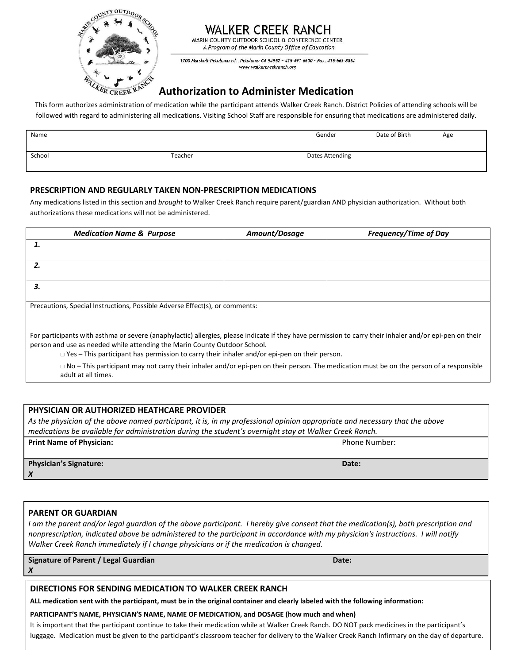

# **WALKER CREEK RANCH**

MARIN COUNTY OUTDOOR SCHOOL & CONFERENCE CENTER A Program of the Marin County Office of Education

1700 Marshall-Petaluma rd., Petaluma CA 94952 ~ 415-491-6600 ~ Fax: 415-663-8854 www.walkercreekranch.org

# **Authorization to Administer Medication**

This form authorizes administration of medication while the participant attends Walker Creek Ranch. District Policies of attending schools will be followed with regard to administering all medications. Visiting School Staff are responsible for ensuring that medications are administered daily.

| Name   |         | Gender          | Date of Birth | Age |
|--------|---------|-----------------|---------------|-----|
| School | Teacher | Dates Attending |               |     |

## **PRESCRIPTION AND REGULARLY TAKEN NON-PRESCRIPTION MEDICATIONS**

Any medications listed in this section and *brought* to Walker Creek Ranch require parent/guardian AND physician authorization. Without both authorizations these medications will not be administered.

| <b>Medication Name &amp; Purpose</b>                                                                                                                                                                                                                                                                                                        | Amount/Dosage | <b>Frequency/Time of Day</b> |  |  |  |  |
|---------------------------------------------------------------------------------------------------------------------------------------------------------------------------------------------------------------------------------------------------------------------------------------------------------------------------------------------|---------------|------------------------------|--|--|--|--|
| 1.                                                                                                                                                                                                                                                                                                                                          |               |                              |  |  |  |  |
| 2.                                                                                                                                                                                                                                                                                                                                          |               |                              |  |  |  |  |
| 3.                                                                                                                                                                                                                                                                                                                                          |               |                              |  |  |  |  |
| Precautions, Special Instructions, Possible Adverse Effect(s), or comments:                                                                                                                                                                                                                                                                 |               |                              |  |  |  |  |
| For participants with asthma or severe (anaphylactic) allergies, please indicate if they have permission to carry their inhaler and/or epi-pen on their<br>person and use as needed while attending the Marin County Outdoor School.<br>$\Box$ Yes – This participant has permission to carry their inhaler and/or epi-pen on their person. |               |                              |  |  |  |  |
| $\Box$ No – This participant may not carry their inhaler and/or epi-pen on their person. The medication must be on the person of a responsible<br>adult at all times.                                                                                                                                                                       |               |                              |  |  |  |  |

## **PHYSICIAN OR AUTHORIZED HEATHCARE PROVIDER**

*As the physician of the above named participant, it is, in my professional opinion appropriate and necessary that the above medications be available for administration during the student's overnight stay at Walker Creek Ranch.*

**Print Name of Physician: Phone Number: Phone Number: Phone Number: Phone Number: Phone Number: Phone Number: Phone Number: Phone Number: Phone Number: Phone Number: Phone Number: Phone Number: Ph** 

**Physician's Signature:**  *X*

## **PARENT OR GUARDIAN**

*X*

*I* am the parent and/or legal guardian of the above participant. *I* hereby give consent that the medication(s), both prescription and *nonprescription, indicated above be administered to the participant in accordance with my physician's instructions. I will notify Walker Creek Ranch immediately if I change physicians or if the medication is changed.*

**Signature of Parent / Legal Guardian**

**Date:** 

## **DIRECTIONS FOR SENDING MEDICATION TO WALKER CREEK RANCH**

**ALL medication sent with the participant, must be in the original container and clearly labeled with the following information:** 

### **PARTICIPANT'S NAME, PHYSICIAN'S NAME, NAME OF MEDICATION, and DOSAGE (how much and when)**

It is important that the participant continue to take their medication while at Walker Creek Ranch. DO NOT pack medicines in the participant's luggage. Medication must be given to the participant's classroom teacher for delivery to the Walker Creek Ranch Infirmary on the day of departure.

**Date:**